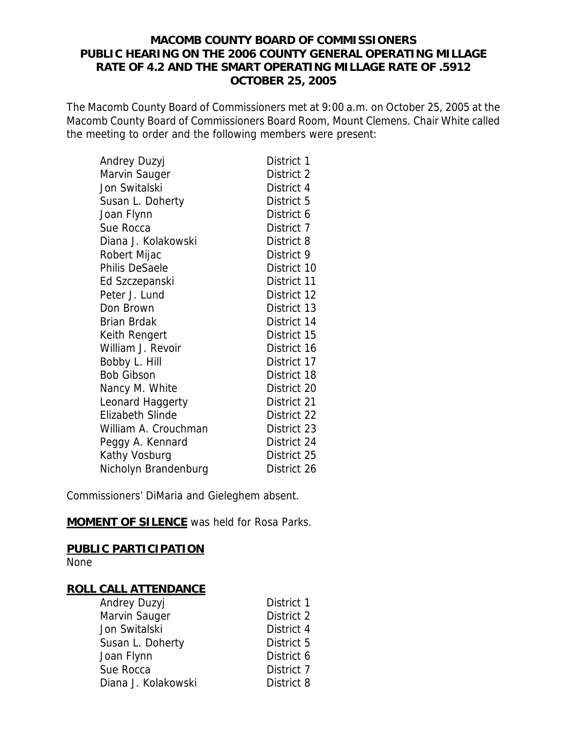## **MACOMB COUNTY BOARD OF COMMISSIONERS PUBLIC HEARING ON THE 2006 COUNTY GENERAL OPERATING MILLAGE RATE OF 4.2 AND THE SMART OPERATING MILLAGE RATE OF .5912 OCTOBER 25, 2005**

The Macomb County Board of Commissioners met at 9:00 a.m. on October 25, 2005 at the Macomb County Board of Commissioners Board Room, Mount Clemens. Chair White called the meeting to order and the following members were present:

| Andrey Duzyj            | District 1  |
|-------------------------|-------------|
| Marvin Sauger           | District 2  |
| Jon Switalski           | District 4  |
| Susan L. Doherty        | District 5  |
| Joan Flynn              | District 6  |
| Sue Rocca               | District 7  |
| Diana J. Kolakowski     | District 8  |
| Robert Mijac            | District 9  |
| <b>Philis DeSaele</b>   | District 10 |
| Ed Szczepanski          | District 11 |
| Peter J. Lund           | District 12 |
| Don Brown               | District 13 |
| <b>Brian Brdak</b>      | District 14 |
| Keith Rengert           | District 15 |
| William J. Revoir       | District 16 |
| Bobby L. Hill           | District 17 |
| <b>Bob Gibson</b>       | District 18 |
| Nancy M. White          | District 20 |
| Leonard Haggerty        | District 21 |
| <b>Elizabeth Slinde</b> | District 22 |
| William A. Crouchman    | District 23 |
| Peggy A. Kennard        | District 24 |
| Kathy Vosburg           | District 25 |
| Nicholyn Brandenburg    | District 26 |

Commissioners' DiMaria and Gieleghem absent.

**MOMENT OF SILENCE** was held for Rosa Parks.

## **PUBLIC PARTICIPATION**

None

## **ROLL CALL ATTENDANCE**

| Andrey Duzyj        | District 1 |
|---------------------|------------|
| Marvin Sauger       | District 2 |
| Jon Switalski       | District 4 |
| Susan L. Doherty    | District 5 |
| Joan Flynn          | District 6 |
| Sue Rocca           | District 7 |
| Diana J. Kolakowski | District 8 |